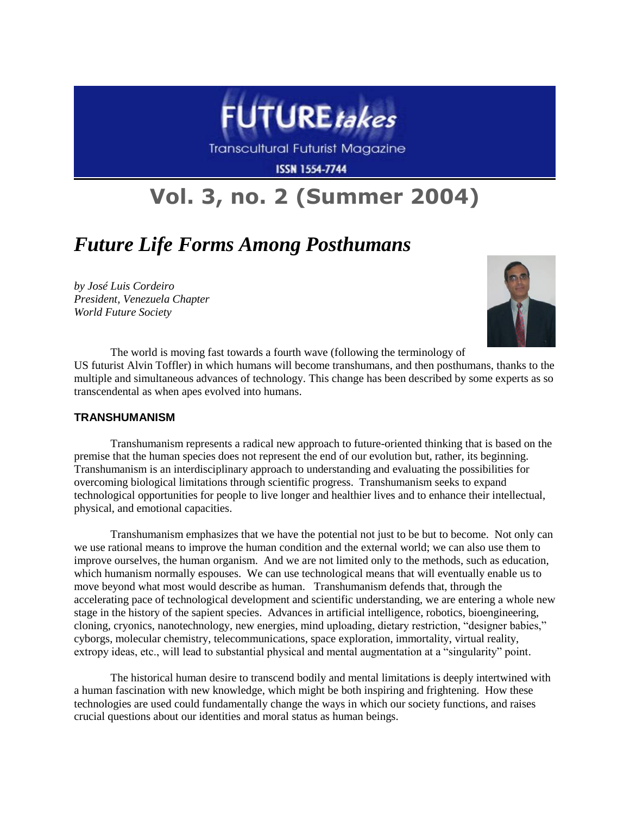

**Transcultural Futurist Magazine** 

**ISSN 1554-7744** 

# **Vol. 3, no. 2 (Summer 2004)**

# *Future Life Forms Among Posthumans*

*by José Luis Cordeiro President, Venezuela Chapter World Future Society*



The world is moving fast towards a fourth wave (following the terminology of US futurist Alvin Toffler) in which humans will become transhumans, and then posthumans, thanks to the multiple and simultaneous advances of technology. This change has been described by some experts as so transcendental as when apes evolved into humans.

# **TRANSHUMANISM**

Transhumanism represents a radical new approach to future-oriented thinking that is based on the premise that the human species does not represent the end of our evolution but, rather, its beginning. Transhumanism is an interdisciplinary approach to understanding and evaluating the possibilities for overcoming biological limitations through scientific progress. Transhumanism seeks to expand technological opportunities for people to live longer and healthier lives and to enhance their intellectual, physical, and emotional capacities.

Transhumanism emphasizes that we have the potential not just to be but to become. Not only can we use rational means to improve the human condition and the external world; we can also use them to improve ourselves, the human organism. And we are not limited only to the methods, such as education, which humanism normally espouses. We can use technological means that will eventually enable us to move beyond what most would describe as human. Transhumanism defends that, through the accelerating pace of technological development and scientific understanding, we are entering a whole new stage in the history of the sapient species. Advances in artificial intelligence, robotics, bioengineering, cloning, cryonics, nanotechnology, new energies, mind uploading, dietary restriction, "designer babies," cyborgs, molecular chemistry, telecommunications, space exploration, immortality, virtual reality, extropy ideas, etc., will lead to substantial physical and mental augmentation at a "singularity" point.

The historical human desire to transcend bodily and mental limitations is deeply intertwined with a human fascination with new knowledge, which might be both inspiring and frightening. How these technologies are used could fundamentally change the ways in which our society functions, and raises crucial questions about our identities and moral status as human beings.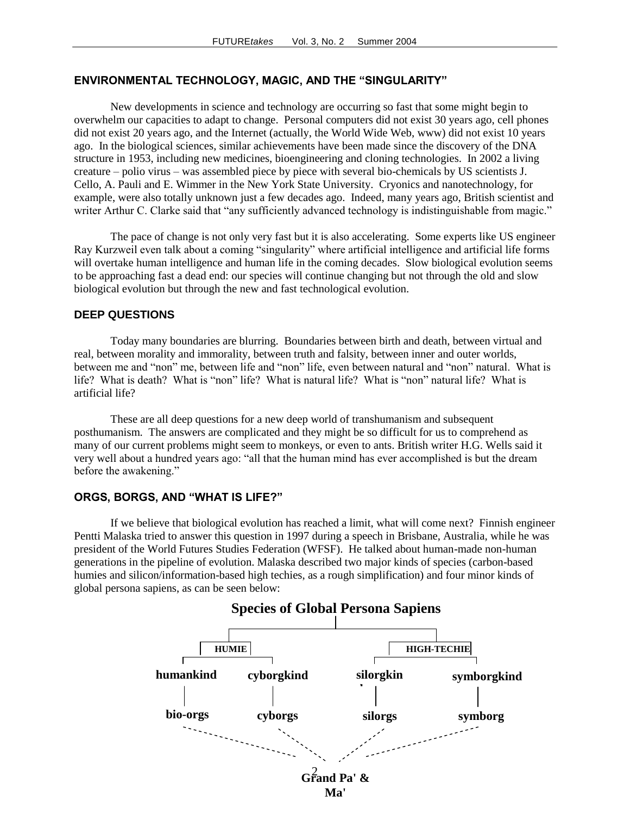# **ENVIRONMENTAL TECHNOLOGY, MAGIC, AND THE "SINGULARITY"**

New developments in science and technology are occurring so fast that some might begin to overwhelm our capacities to adapt to change. Personal computers did not exist 30 years ago, cell phones did not exist 20 years ago, and the Internet (actually, the World Wide Web, www) did not exist 10 years ago. In the biological sciences, similar achievements have been made since the discovery of the DNA structure in 1953, including new medicines, bioengineering and cloning technologies. In 2002 a living creature – polio virus – was assembled piece by piece with several bio-chemicals by US scientists J. Cello, A. Pauli and E. Wimmer in the New York State University. Cryonics and nanotechnology, for example, were also totally unknown just a few decades ago. Indeed, many years ago, British scientist and writer Arthur C. Clarke said that "any sufficiently advanced technology is indistinguishable from magic."

The pace of change is not only very fast but it is also accelerating. Some experts like US engineer Ray Kurzweil even talk about a coming "singularity" where artificial intelligence and artificial life forms will overtake human intelligence and human life in the coming decades. Slow biological evolution seems to be approaching fast a dead end: our species will continue changing but not through the old and slow biological evolution but through the new and fast technological evolution.

#### **DEEP QUESTIONS**

Today many boundaries are blurring. Boundaries between birth and death, between virtual and real, between morality and immorality, between truth and falsity, between inner and outer worlds, between me and "non" me, between life and "non" life, even between natural and "non" natural. What is life? What is death? What is "non" life? What is natural life? What is "non" natural life? What is artificial life?

These are all deep questions for a new deep world of transhumanism and subsequent posthumanism. The answers are complicated and they might be so difficult for us to comprehend as many of our current problems might seem to monkeys, or even to ants. British writer H.G. Wells said it very well about a hundred years ago: "all that the human mind has ever accomplished is but the dream before the awakening."

#### **ORGS, BORGS, AND "WHAT IS LIFE?"**

If we believe that biological evolution has reached a limit, what will come next? Finnish engineer Pentti Malaska tried to answer this question in 1997 during a speech in Brisbane, Australia, while he was president of the World Futures Studies Federation (WFSF). He talked about human-made non-human generations in the pipeline of evolution. Malaska described two major kinds of species (carbon-based humies and silicon/information-based high techies, as a rough simplification) and four minor kinds of global persona sapiens, as can be seen below:

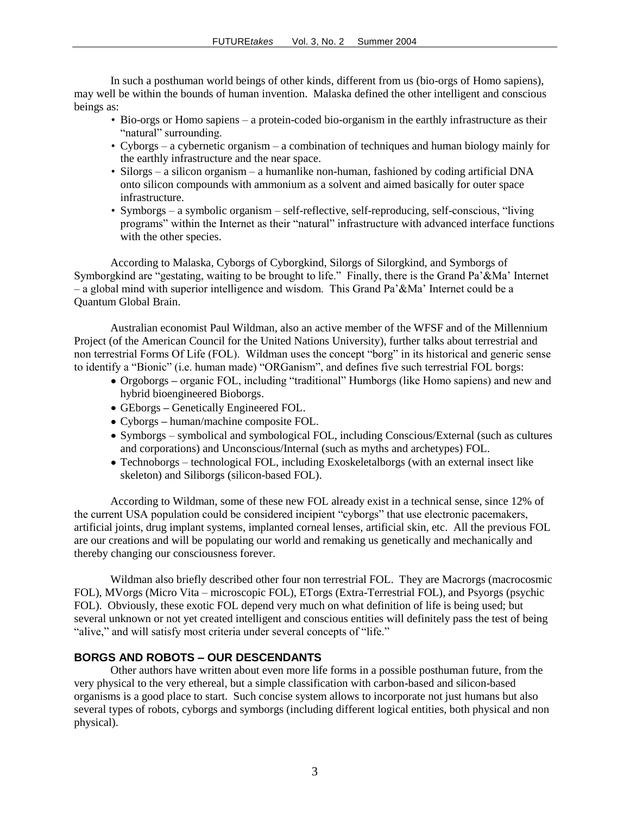In such a posthuman world beings of other kinds, different from us (bio-orgs of Homo sapiens), may well be within the bounds of human invention. Malaska defined the other intelligent and conscious beings as:

- Bio-orgs or Homo sapiens a protein-coded bio-organism in the earthly infrastructure as their "natural" surrounding.
- Cyborgs a cybernetic organism a combination of techniques and human biology mainly for the earthly infrastructure and the near space.
- Silorgs a silicon organism a humanlike non-human, fashioned by coding artificial DNA onto silicon compounds with ammonium as a solvent and aimed basically for outer space infrastructure.
- Symborgs a symbolic organism self-reflective, self-reproducing, self-conscious, "living programs" within the Internet as their "natural" infrastructure with advanced interface functions with the other species.

According to Malaska, Cyborgs of Cyborgkind, Silorgs of Silorgkind, and Symborgs of Symborgkind are "gestating, waiting to be brought to life." Finally, there is the Grand Pa'&Ma' Internet – a global mind with superior intelligence and wisdom. This Grand Pa'&Ma' Internet could be a Quantum Global Brain.

Australian economist Paul Wildman, also an active member of the WFSF and of the Millennium Project (of the American Council for the United Nations University), further talks about terrestrial and non terrestrial Forms Of Life (FOL). Wildman uses the concept "borg" in its historical and generic sense to identify a "Bionic" (i.e. human made) "ORGanism", and defines five such terrestrial FOL borgs:

- Orgoborgs **–** organic FOL, including "traditional" Humborgs (like Homo sapiens) and new and hybrid bioengineered Bioborgs.
- GEborgs **–** Genetically Engineered FOL.
- Cyborgs **–** human/machine composite FOL.
- Symborgs symbolical and symbological FOL, including Conscious/External (such as cultures and corporations) and Unconscious/Internal (such as myths and archetypes) FOL.
- Technoborgs technological FOL, including Exoskeletalborgs (with an external insect like skeleton) and Siliborgs (silicon-based FOL).

According to Wildman, some of these new FOL already exist in a technical sense, since 12% of the current USA population could be considered incipient "cyborgs" that use electronic pacemakers, artificial joints, drug implant systems, implanted corneal lenses, artificial skin, etc. All the previous FOL are our creations and will be populating our world and remaking us genetically and mechanically and thereby changing our consciousness forever.

Wildman also briefly described other four non terrestrial FOL. They are Macrorgs (macrocosmic FOL), MVorgs (Micro Vita – microscopic FOL), ETorgs (Extra-Terrestrial FOL), and Psyorgs (psychic FOL). Obviously, these exotic FOL depend very much on what definition of life is being used; but several unknown or not yet created intelligent and conscious entities will definitely pass the test of being "alive," and will satisfy most criteria under several concepts of "life."

# **BORGS AND ROBOTS – OUR DESCENDANTS**

Other authors have written about even more life forms in a possible posthuman future, from the very physical to the very ethereal, but a simple classification with carbon-based and silicon-based organisms is a good place to start. Such concise system allows to incorporate not just humans but also several types of robots, cyborgs and symborgs (including different logical entities, both physical and non physical).